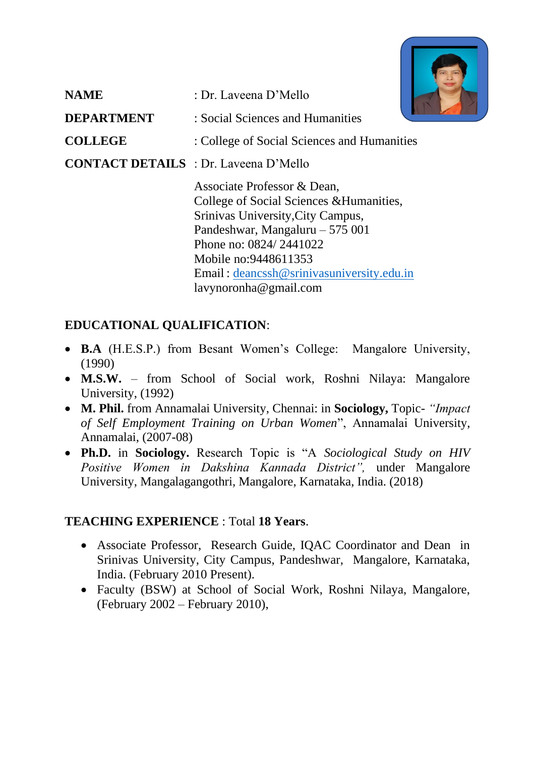

| <b>NAME</b>                                  | : Dr. Laveena D'Mello                                                                                                                                                                                                                                                   |
|----------------------------------------------|-------------------------------------------------------------------------------------------------------------------------------------------------------------------------------------------------------------------------------------------------------------------------|
| <b>DEPARTMENT</b>                            | : Social Sciences and Humanities                                                                                                                                                                                                                                        |
| <b>COLLEGE</b>                               | : College of Social Sciences and Humanities                                                                                                                                                                                                                             |
| <b>CONTACT DETAILS</b> : Dr. Laveena D'Mello |                                                                                                                                                                                                                                                                         |
|                                              | Associate Professor & Dean,<br>College of Social Sciences & Humanities,<br>Srinivas University, City Campus,<br>Pandeshwar, Mangaluru $-575001$<br>Phone no: 0824/2441022<br>Mobile no:9448611353<br>Email: deancssh@srinivasuniversity.edu.in<br>lavynoronha@gmail.com |

# **EDUCATIONAL QUALIFICATION**:

- **B.A** (H.E.S.P.) from Besant Women's College: Mangalore University, (1990)
- **M.S.W.** from School of Social work, Roshni Nilaya: Mangalore University, (1992)
- **M. Phil.** from Annamalai University, Chennai: in **Sociology,** Topic- *"Impact of Self Employment Training on Urban Women*", Annamalai University, Annamalai, (2007-08)
- **Ph.D.** in **Sociology.** Research Topic is "A *Sociological Study on HIV Positive Women in Dakshina Kannada District",* under Mangalore University, Mangalagangothri, Mangalore, Karnataka, India. (2018)

# **TEACHING EXPERIENCE** : Total **18 Years**.

- Associate Professor, Research Guide, IQAC Coordinator and Dean in Srinivas University, City Campus, Pandeshwar, Mangalore, Karnataka, India. (February 2010 Present).
- Faculty (BSW) at School of Social Work, Roshni Nilaya, Mangalore, (February 2002 – February 2010),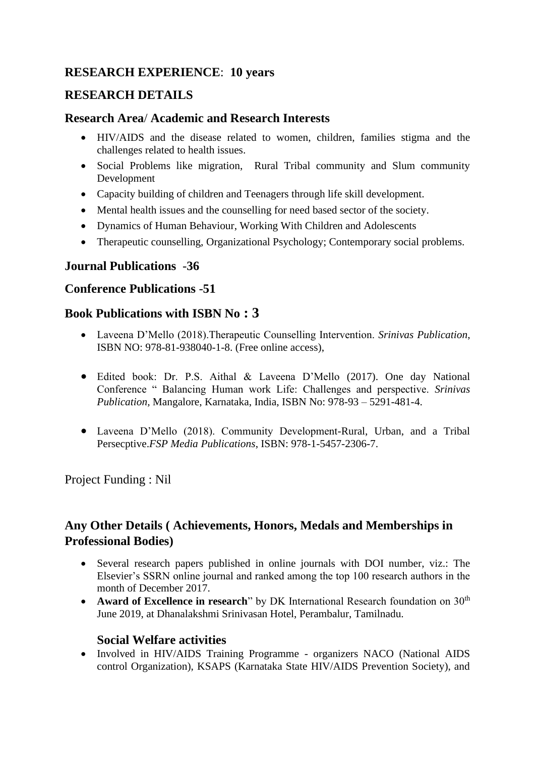### **RESEARCH EXPERIENCE**: **10 years**

### **RESEARCH DETAILS**

#### **Research Area**/ **Academic and Research Interests**

- HIV/AIDS and the disease related to women, children, families stigma and the challenges related to health issues.
- Social Problems like migration, Rural Tribal community and Slum community Development
- Capacity building of children and Teenagers through life skill development.
- Mental health issues and the counselling for need based sector of the society.
- Dynamics of Human Behaviour, Working With Children and Adolescents
- Therapeutic counselling, Organizational Psychology; Contemporary social problems.

#### **Journal Publications** -**36**

#### **Conference Publications** -**51**

#### **Book Publications with ISBN No : 3**

- Laveena D'Mello (2018).Therapeutic Counselling Intervention. *Srinivas Publication*, ISBN NO: 978-81-938040-1-8. (Free online access),
- Edited book: Dr. P.S. Aithal & Laveena D'Mello (2017). One day National Conference " Balancing Human work Life: Challenges and perspective. *Srinivas Publication,* Mangalore, Karnataka, India, ISBN No: 978-93 – 5291-481-4.
- Laveena D'Mello (2018). Community Development-Rural, Urban, and a Tribal Persecptive.*FSP Media Publications*, ISBN: 978-1-5457-2306-7.

Project Funding : Nil

## **Any Other Details ( Achievements, Honors, Medals and Memberships in Professional Bodies)**

- Several research papers published in online journals with DOI number, viz.: The Elsevier's SSRN online journal and ranked among the top 100 research authors in the month of December 2017.
- **Award of Excellence in research**" by DK International Research foundation on 30<sup>th</sup> June 2019, at Dhanalakshmi Srinivasan Hotel, Perambalur, Tamilnadu.

#### **Social Welfare activities**

• Involved in HIV/AIDS Training Programme - organizers NACO (National AIDS control Organization), KSAPS (Karnataka State HIV/AIDS Prevention Society), and